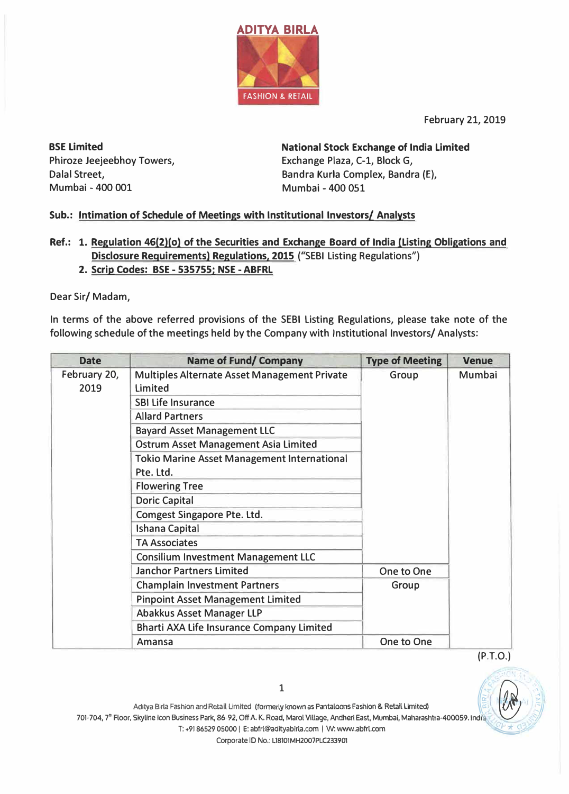

February 21, 2019

**BSE Limited**  Phiroze Jeejeebhoy Towers, Dalal Street, Mumbai - 400 001 Mumbai - 400 051

**National Stock Exchange of India Limited**  Exchange Plaza, C-1, Block G, Bandra Kurla Complex, Bandra (E),

## **Sub.: Intimation of Schedule of Meetings with Institutional Investors/ Analysts**

- **Ref.: 1. Regulation 46(2)(0) of the Securities and Exchange Board of India (Listing Obligations and Disclosure Requirements) Regulations, 2015** ("SEBI Listing Regulations")
	- **2. Scrip Codes: BSE - 535755; NSE - ABFRL**

Dear Sir/ Madam,

In terms of the above referred provisions of the SEBI Listing Regulations, please take note of the following schedule of the meetings held by the Company with Institutional Investors/ Analysts:

| <b>Date</b>          | <b>Name of Fund/ Company</b>                            | <b>Type of Meeting</b> | <b>Venue</b>  |
|----------------------|---------------------------------------------------------|------------------------|---------------|
| February 20,<br>2019 | Multiples Alternate Asset Management Private<br>Limited | Group                  | <b>Mumbai</b> |
|                      | <b>SBI Life Insurance</b>                               |                        |               |
|                      | <b>Allard Partners</b>                                  |                        |               |
|                      | <b>Bayard Asset Management LLC</b>                      |                        |               |
|                      | <b>Ostrum Asset Management Asia Limited</b>             |                        |               |
|                      | <b>Tokio Marine Asset Management International</b>      |                        |               |
|                      | Pte. Ltd.                                               |                        |               |
|                      | <b>Flowering Tree</b>                                   |                        |               |
|                      | <b>Doric Capital</b>                                    |                        |               |
|                      | Comgest Singapore Pte. Ltd.                             |                        |               |
|                      | <b>Ishana Capital</b>                                   |                        |               |
|                      | <b>TA Associates</b>                                    |                        |               |
|                      | <b>Consilium Investment Management LLC</b>              |                        |               |
|                      | <b>Janchor Partners Limited</b>                         | One to One             |               |
|                      | <b>Champlain Investment Partners</b>                    | Group                  |               |
|                      | <b>Pinpoint Asset Management Limited</b>                |                        |               |
|                      | Abakkus Asset Manager LLP                               |                        |               |
|                      | <b>Bharti AXA Life Insurance Company Limited</b>        |                        |               |
|                      | Amansa                                                  | One to One             |               |



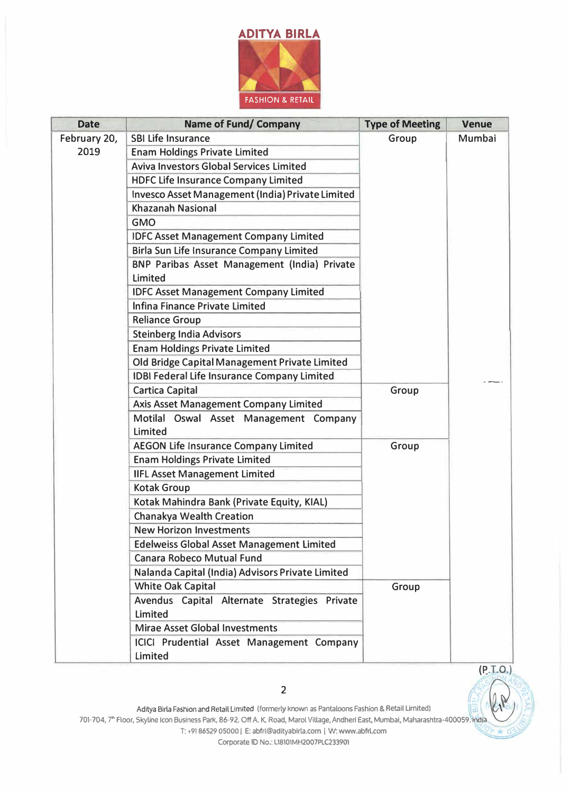

| <b>Date</b>  | <b>Name of Fund/ Company</b>                            | <b>Type of Meeting</b> | <b>Venue</b> |
|--------------|---------------------------------------------------------|------------------------|--------------|
| February 20, | <b>SBI Life Insurance</b>                               | Group                  | Mumbai       |
| 2019         | <b>Enam Holdings Private Limited</b>                    |                        |              |
|              | <b>Aviva Investors Global Services Limited</b>          |                        |              |
|              | <b>HDFC Life Insurance Company Limited</b>              |                        |              |
|              | Invesco Asset Management (India) Private Limited        |                        |              |
|              | <b>Khazanah Nasional</b>                                |                        |              |
|              | <b>GMO</b>                                              |                        |              |
|              | <b>IDFC Asset Management Company Limited</b>            |                        |              |
|              | <b>Birla Sun Life Insurance Company Limited</b>         |                        |              |
|              | BNP Paribas Asset Management (India) Private<br>Limited |                        |              |
|              | <b>IDFC Asset Management Company Limited</b>            |                        |              |
|              | Infina Finance Private Limited                          |                        |              |
|              | <b>Reliance Group</b>                                   |                        |              |
|              | <b>Steinberg India Advisors</b>                         |                        |              |
|              | <b>Enam Holdings Private Limited</b>                    |                        |              |
|              | Old Bridge Capital Management Private Limited           |                        |              |
|              | <b>IDBI Federal Life Insurance Company Limited</b>      |                        |              |
|              | <b>Cartica Capital</b>                                  | Group                  |              |
|              | <b>Axis Asset Management Company Limited</b>            |                        |              |
|              | Motilal Oswal Asset Management Company<br>Limited       |                        |              |
|              | <b>AEGON Life Insurance Company Limited</b>             | Group                  |              |
|              | <b>Enam Holdings Private Limited</b>                    |                        |              |
|              | <b>IIFL Asset Management Limited</b>                    |                        |              |
|              | <b>Kotak Group</b>                                      |                        |              |
|              | Kotak Mahindra Bank (Private Equity, KIAL)              |                        |              |
|              | <b>Chanakya Wealth Creation</b>                         |                        |              |
|              | <b>New Horizon Investments</b>                          |                        |              |
|              | <b>Edelweiss Global Asset Management Limited</b>        |                        |              |
|              | <b>Canara Robeco Mutual Fund</b>                        |                        |              |
|              | Nalanda Capital (India) Advisors Private Limited        |                        |              |
|              | <b>White Oak Capital</b>                                | Group                  |              |
|              | Avendus Capital Alternate Strategies Private<br>Limited |                        |              |
|              | <b>Mirae Asset Global Investments</b>                   |                        |              |
|              | ICICI Prudential Asset Management Company<br>Limited    |                        |              |



Aditya Birla Fashion and Retail Limited (formerly known as Pantaloons Fashion & Retail Limited)<br>701-704, 7<sup>th</sup> Floor, Skyline Icon Business Park, 86-92, Off A. K. Road, Marol Village, Andheri East, Mumbai, Maharashtra-4000 T: +91 86529 05000 | E: abfrl@adityabirla.com | W: www.abfrl.com

Corporate ID No.: L18101MH2007PLC233901